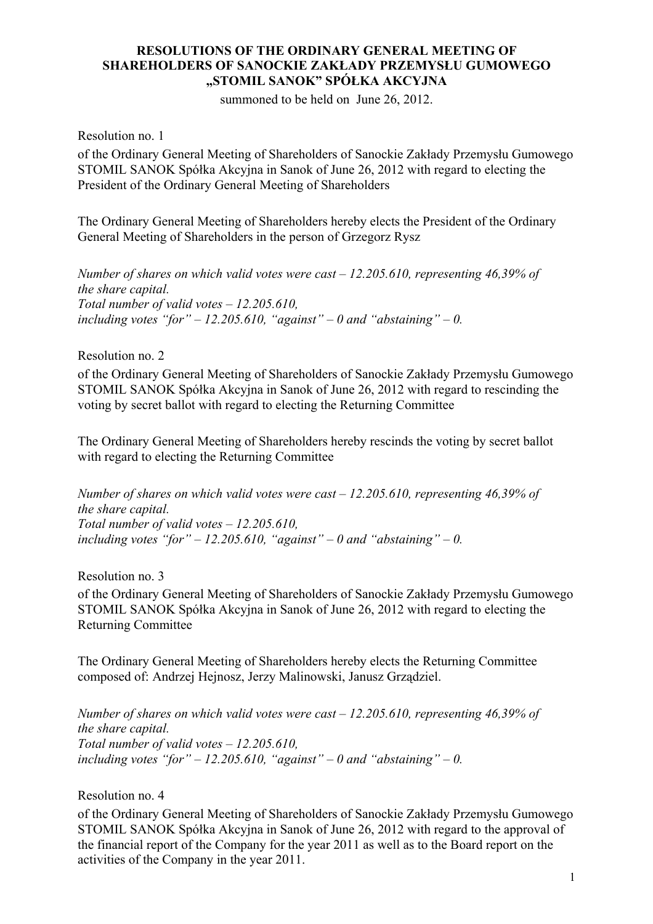## **RESOLUTIONS OF THE ORDINARY GENERAL MEETING OF SHAREHOLDERS OF SANOCKIE ZAKŁADY PRZEMYSŁU GUMOWEGO "STOMIL SANOK" SPÓŁKA AKCYJNA**

summoned to be held on June 26, 2012.

Resolution no. 1

of the Ordinary General Meeting of Shareholders of Sanockie Zakłady Przemysłu Gumowego STOMIL SANOK Spółka Akcyjna in Sanok of June 26, 2012 with regard to electing the President of the Ordinary General Meeting of Shareholders

The Ordinary General Meeting of Shareholders hereby elects the President of the Ordinary General Meeting of Shareholders in the person of Grzegorz Rysz

*Number of shares on which valid votes were cast – 12.205.610, representing 46,39% of the share capital. Total number of valid votes – 12.205.610,*  including votes "for" – 12.205.610, "against" – 0 and "abstaining" – 0.

Resolution no. 2

of the Ordinary General Meeting of Shareholders of Sanockie Zakłady Przemysłu Gumowego STOMIL SANOK Spółka Akcyjna in Sanok of June 26, 2012 with regard to rescinding the voting by secret ballot with regard to electing the Returning Committee

The Ordinary General Meeting of Shareholders hereby rescinds the voting by secret ballot with regard to electing the Returning Committee

*Number of shares on which valid votes were cast – 12.205.610, representing 46,39% of the share capital. Total number of valid votes – 12.205.610,*  including votes "for"  $-12.205.610$ , "against"  $-0$  and "abstaining"  $-0$ .

Resolution no. 3

of the Ordinary General Meeting of Shareholders of Sanockie Zakłady Przemysłu Gumowego STOMIL SANOK Spółka Akcyjna in Sanok of June 26, 2012 with regard to electing the Returning Committee

The Ordinary General Meeting of Shareholders hereby elects the Returning Committee composed of: Andrzej Hejnosz, Jerzy Malinowski, Janusz Grządziel.

*Number of shares on which valid votes were cast – 12.205.610, representing 46,39% of the share capital. Total number of valid votes – 12.205.610,*  including votes "for"  $-12.205.610$ , "against"  $-0$  and "abstaining"  $-0$ .

Resolution no. 4

of the Ordinary General Meeting of Shareholders of Sanockie Zakłady Przemysłu Gumowego STOMIL SANOK Spółka Akcyjna in Sanok of June 26, 2012 with regard to the approval of the financial report of the Company for the year 2011 as well as to the Board report on the activities of the Company in the year 2011.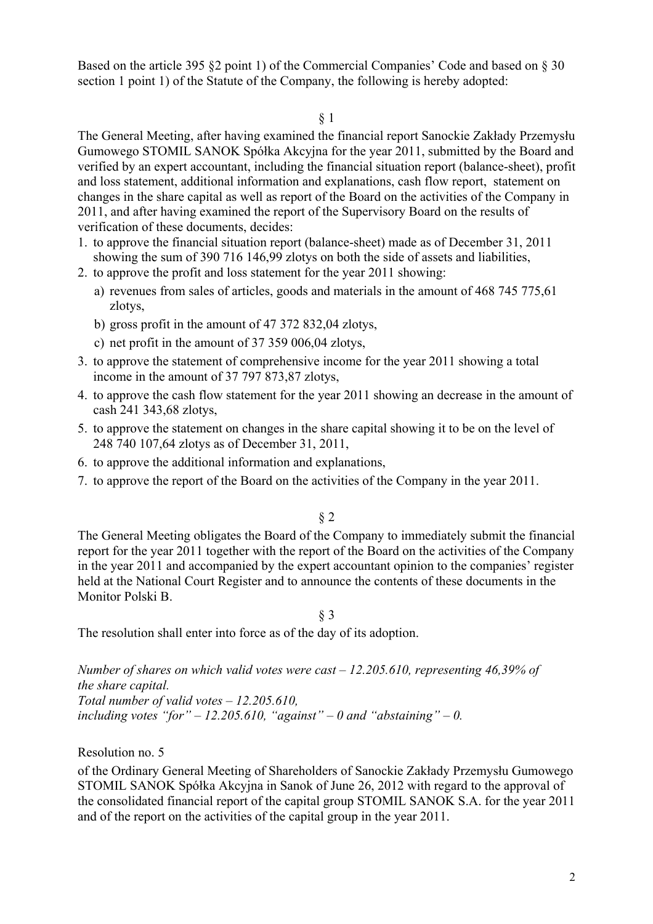Based on the article 395 §2 point 1) of the Commercial Companies' Code and based on § 30 section 1 point 1) of the Statute of the Company, the following is hereby adopted:

§ 1

The General Meeting, after having examined the financial report Sanockie Zakłady Przemysłu Gumowego STOMIL SANOK Spółka Akcyjna for the year 2011, submitted by the Board and verified by an expert accountant, including the financial situation report (balance-sheet), profit and loss statement, additional information and explanations, cash flow report, statement on changes in the share capital as well as report of the Board on the activities of the Company in 2011, and after having examined the report of the Supervisory Board on the results of verification of these documents, decides:

- 1. to approve the financial situation report (balance-sheet) made as of December 31, 2011 showing the sum of 390 716 146,99 zlotys on both the side of assets and liabilities,
- 2. to approve the profit and loss statement for the year 2011 showing:
	- a) revenues from sales of articles, goods and materials in the amount of 468 745 775,61 zlotys,
	- b) gross profit in the amount of 47 372 832,04 zlotys,
	- c) net profit in the amount of 37 359 006,04 zlotys,
- 3. to approve the statement of comprehensive income for the year 2011 showing a total income in the amount of 37 797 873,87 zlotys,
- 4. to approve the cash flow statement for the year 2011 showing an decrease in the amount of cash 241 343,68 zlotys,
- 5. to approve the statement on changes in the share capital showing it to be on the level of 248 740 107,64 zlotys as of December 31, 2011,
- 6. to approve the additional information and explanations,
- 7. to approve the report of the Board on the activities of the Company in the year 2011.

## § 2

The General Meeting obligates the Board of the Company to immediately submit the financial report for the year 2011 together with the report of the Board on the activities of the Company in the year 2011 and accompanied by the expert accountant opinion to the companies' register held at the National Court Register and to announce the contents of these documents in the Monitor Polski B.

§ 3

The resolution shall enter into force as of the day of its adoption.

*Number of shares on which valid votes were cast – 12.205.610, representing 46,39% of the share capital.* 

*Total number of valid votes – 12.205.610,*  including votes "for"  $-12.205.610$ , "against"  $-0$  and "abstaining"  $-0$ .

Resolution no. 5

of the Ordinary General Meeting of Shareholders of Sanockie Zakłady Przemysłu Gumowego STOMIL SANOK Spółka Akcyjna in Sanok of June 26, 2012 with regard to the approval of the consolidated financial report of the capital group STOMIL SANOK S.A. for the year 2011 and of the report on the activities of the capital group in the year 2011.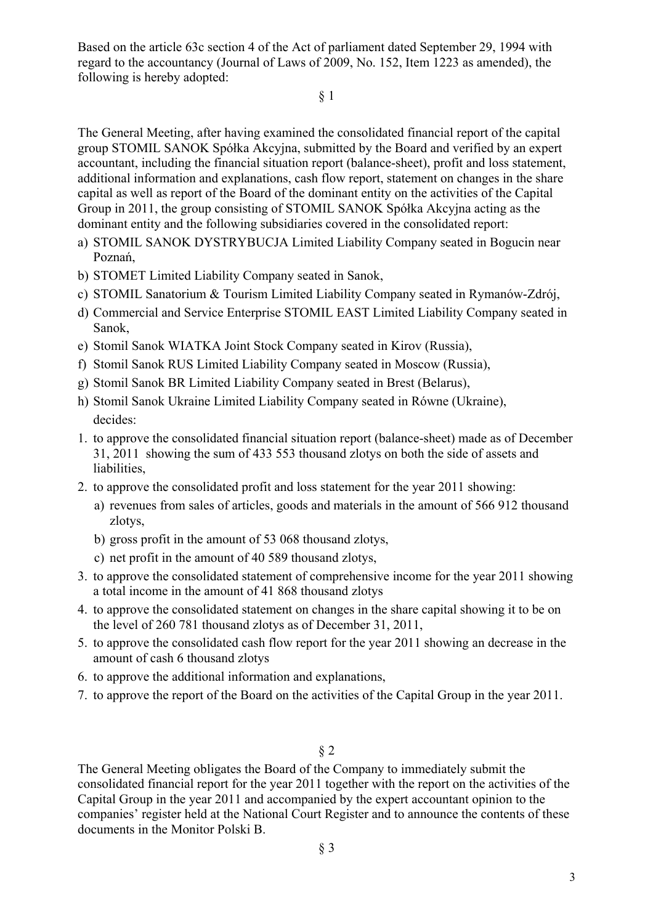Based on the article 63c section 4 of the Act of parliament dated September 29, 1994 with regard to the accountancy (Journal of Laws of 2009, No. 152, Item 1223 as amended), the following is hereby adopted:

§ 1

The General Meeting, after having examined the consolidated financial report of the capital group STOMIL SANOK Spółka Akcyjna, submitted by the Board and verified by an expert accountant, including the financial situation report (balance-sheet), profit and loss statement, additional information and explanations, cash flow report, statement on changes in the share capital as well as report of the Board of the dominant entity on the activities of the Capital Group in 2011, the group consisting of STOMIL SANOK Spółka Akcyjna acting as the dominant entity and the following subsidiaries covered in the consolidated report:

- a) STOMIL SANOK DYSTRYBUCJA Limited Liability Company seated in Bogucin near Poznań,
- b) STOMET Limited Liability Company seated in Sanok,
- c) STOMIL Sanatorium & Tourism Limited Liability Company seated in Rymanów-Zdrój,
- d) Commercial and Service Enterprise STOMIL EAST Limited Liability Company seated in Sanok,
- e) Stomil Sanok WIATKA Joint Stock Company seated in Kirov (Russia),
- f) Stomil Sanok RUS Limited Liability Company seated in Moscow (Russia),
- g) Stomil Sanok BR Limited Liability Company seated in Brest (Belarus),
- h) Stomil Sanok Ukraine Limited Liability Company seated in Równe (Ukraine), decides:
- 1. to approve the consolidated financial situation report (balance-sheet) made as of December 31, 2011 showing the sum of 433 553 thousand zlotys on both the side of assets and liabilities,
- 2. to approve the consolidated profit and loss statement for the year 2011 showing:
	- a) revenues from sales of articles, goods and materials in the amount of 566 912 thousand zlotys,
	- b) gross profit in the amount of 53 068 thousand zlotys,
	- c) net profit in the amount of 40 589 thousand zlotys,
- 3. to approve the consolidated statement of comprehensive income for the year 2011 showing a total income in the amount of 41 868 thousand zlotys
- 4. to approve the consolidated statement on changes in the share capital showing it to be on the level of 260 781 thousand zlotys as of December 31, 2011,
- 5. to approve the consolidated cash flow report for the year 2011 showing an decrease in the amount of cash 6 thousand zlotys
- 6. to approve the additional information and explanations,
- 7. to approve the report of the Board on the activities of the Capital Group in the year 2011.
	- § 2

The General Meeting obligates the Board of the Company to immediately submit the consolidated financial report for the year 2011 together with the report on the activities of the Capital Group in the year 2011 and accompanied by the expert accountant opinion to the companies' register held at the National Court Register and to announce the contents of these documents in the Monitor Polski B.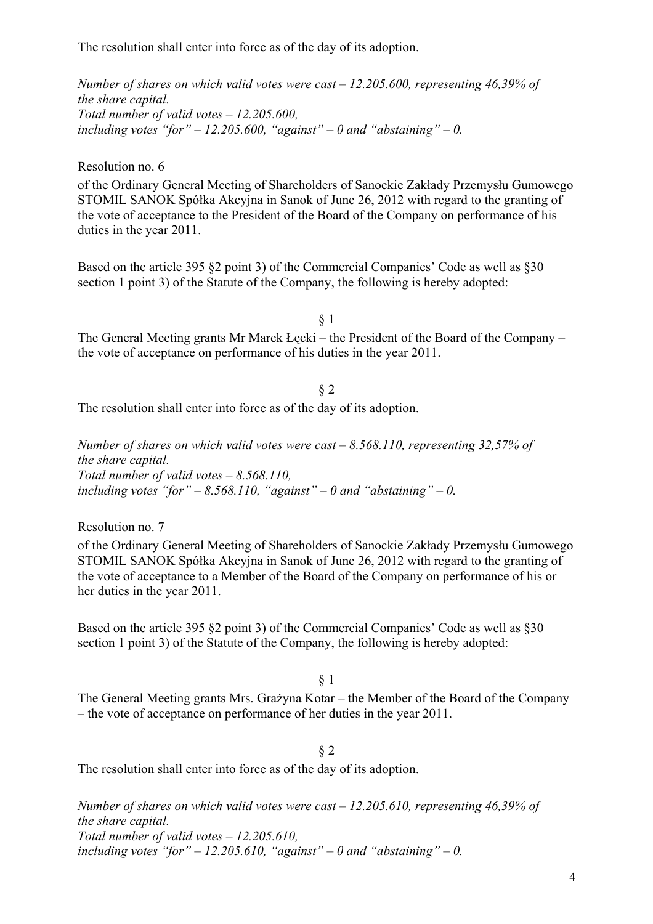The resolution shall enter into force as of the day of its adoption.

*Number of shares on which valid votes were cast – 12.205.600, representing 46,39% of the share capital. Total number of valid votes – 12.205.600,*  including votes "for"  $-12.205.600$ , "against"  $-0$  and "abstaining"  $-0$ .

Resolution no. 6

of the Ordinary General Meeting of Shareholders of Sanockie Zakłady Przemysłu Gumowego STOMIL SANOK Spółka Akcyjna in Sanok of June 26, 2012 with regard to the granting of the vote of acceptance to the President of the Board of the Company on performance of his duties in the year 2011.

Based on the article 395 §2 point 3) of the Commercial Companies' Code as well as §30 section 1 point 3) of the Statute of the Company, the following is hereby adopted:

§ 1

The General Meeting grants Mr Marek Łęcki – the President of the Board of the Company – the vote of acceptance on performance of his duties in the year 2011.

§ 2 The resolution shall enter into force as of the day of its adoption.

*Number of shares on which valid votes were cast – 8.568.110, representing 32,57% of the share capital. Total number of valid votes – 8.568.110, including votes "for" – 8.568.110, "against" – 0 and "abstaining" – 0.* 

Resolution no. 7

of the Ordinary General Meeting of Shareholders of Sanockie Zakłady Przemysłu Gumowego STOMIL SANOK Spółka Akcyjna in Sanok of June 26, 2012 with regard to the granting of the vote of acceptance to a Member of the Board of the Company on performance of his or her duties in the year 2011.

Based on the article 395 §2 point 3) of the Commercial Companies' Code as well as §30 section 1 point 3) of the Statute of the Company, the following is hereby adopted:

§ 1

The General Meeting grants Mrs. Grażyna Kotar – the Member of the Board of the Company – the vote of acceptance on performance of her duties in the year 2011.

## § 2

The resolution shall enter into force as of the day of its adoption.

*Number of shares on which valid votes were cast – 12.205.610, representing 46,39% of the share capital. Total number of valid votes – 12.205.610,*  including votes "for"  $-12.205.610$ , "against"  $-0$  and "abstaining"  $-0$ .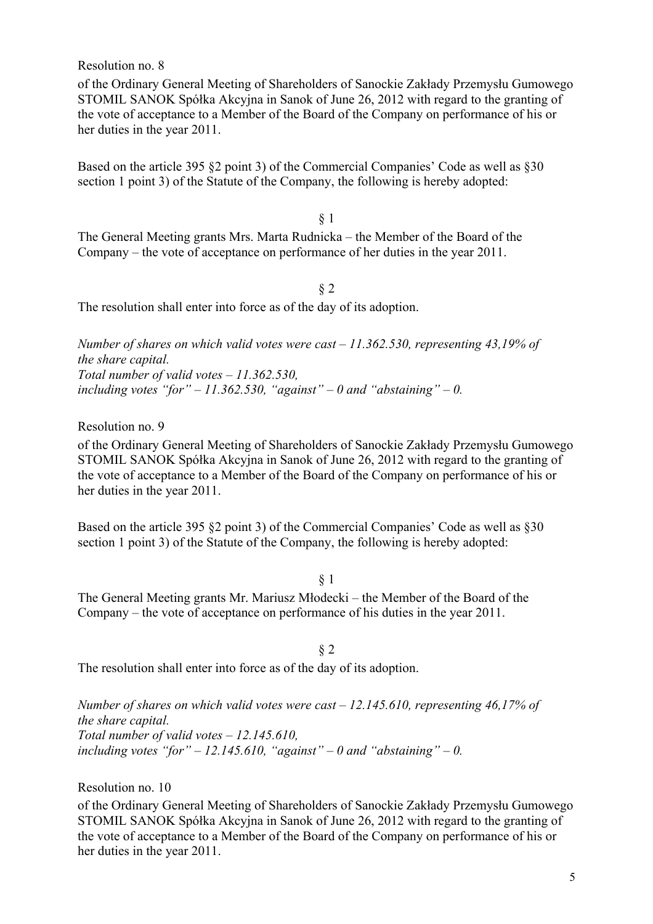Resolution no. 8

of the Ordinary General Meeting of Shareholders of Sanockie Zakłady Przemysłu Gumowego STOMIL SANOK Spółka Akcyjna in Sanok of June 26, 2012 with regard to the granting of the vote of acceptance to a Member of the Board of the Company on performance of his or her duties in the year 2011.

Based on the article 395 §2 point 3) of the Commercial Companies' Code as well as §30 section 1 point 3) of the Statute of the Company, the following is hereby adopted:

§ 1

The General Meeting grants Mrs. Marta Rudnicka – the Member of the Board of the Company – the vote of acceptance on performance of her duties in the year 2011.

§ 2

The resolution shall enter into force as of the day of its adoption.

*Number of shares on which valid votes were cast – 11.362.530, representing 43,19% of the share capital. Total number of valid votes – 11.362.530,*  including votes "for" – 11.362.530, "against" – 0 and "abstaining" – 0.

Resolution no. 9

of the Ordinary General Meeting of Shareholders of Sanockie Zakłady Przemysłu Gumowego STOMIL SANOK Spółka Akcyjna in Sanok of June 26, 2012 with regard to the granting of the vote of acceptance to a Member of the Board of the Company on performance of his or her duties in the year 2011.

Based on the article 395 §2 point 3) of the Commercial Companies' Code as well as §30 section 1 point 3) of the Statute of the Company, the following is hereby adopted:

§ 1

The General Meeting grants Mr. Mariusz Młodecki – the Member of the Board of the Company – the vote of acceptance on performance of his duties in the year 2011.

§ 2

The resolution shall enter into force as of the day of its adoption.

*Number of shares on which valid votes were cast – 12.145.610, representing 46,17% of the share capital. Total number of valid votes – 12.145.610,*  including votes "for" – 12.145.610, "against" – 0 and "abstaining" – 0.

Resolution no. 10

of the Ordinary General Meeting of Shareholders of Sanockie Zakłady Przemysłu Gumowego STOMIL SANOK Spółka Akcyjna in Sanok of June 26, 2012 with regard to the granting of the vote of acceptance to a Member of the Board of the Company on performance of his or her duties in the year 2011.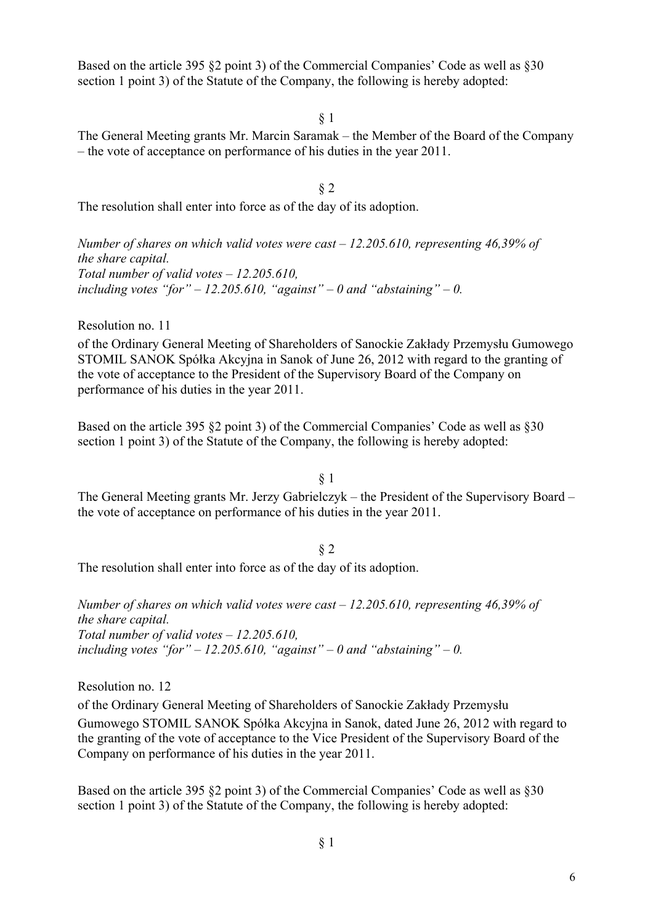Based on the article 395 §2 point 3) of the Commercial Companies' Code as well as §30 section 1 point 3) of the Statute of the Company, the following is hereby adopted:

§ 1

The General Meeting grants Mr. Marcin Saramak – the Member of the Board of the Company – the vote of acceptance on performance of his duties in the year 2011.

§ 2

The resolution shall enter into force as of the day of its adoption.

*Number of shares on which valid votes were cast – 12.205.610, representing 46,39% of the share capital. Total number of valid votes – 12.205.610,*  including votes "for"  $-12.205.610$ , "against"  $-0$  and "abstaining"  $-0$ .

Resolution no. 11

of the Ordinary General Meeting of Shareholders of Sanockie Zakłady Przemysłu Gumowego STOMIL SANOK Spółka Akcyjna in Sanok of June 26, 2012 with regard to the granting of the vote of acceptance to the President of the Supervisory Board of the Company on performance of his duties in the year 2011.

Based on the article 395 §2 point 3) of the Commercial Companies' Code as well as §30 section 1 point 3) of the Statute of the Company, the following is hereby adopted:

§ 1

The General Meeting grants Mr. Jerzy Gabrielczyk – the President of the Supervisory Board – the vote of acceptance on performance of his duties in the year 2011.

§ 2

The resolution shall enter into force as of the day of its adoption.

*Number of shares on which valid votes were cast – 12.205.610, representing 46,39% of the share capital. Total number of valid votes – 12.205.610,*  including votes "for"  $-12.205.610$ , "against"  $-0$  and "abstaining"  $-0$ .

Resolution no. 12 of the Ordinary General Meeting of Shareholders of Sanockie Zakłady Przemysłu Gumowego STOMIL SANOK Spółka Akcyjna in Sanok, dated June 26, 2012 with regard to the granting of the vote of acceptance to the Vice President of the Supervisory Board of the Company on performance of his duties in the year 2011.

Based on the article 395 §2 point 3) of the Commercial Companies' Code as well as §30 section 1 point 3) of the Statute of the Company, the following is hereby adopted: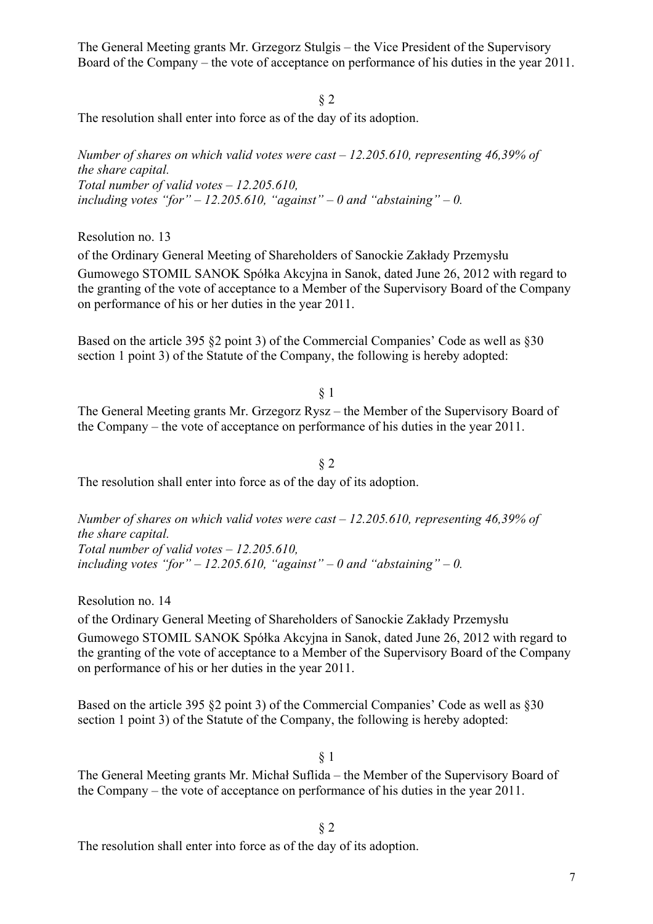The General Meeting grants Mr. Grzegorz Stulgis – the Vice President of the Supervisory Board of the Company – the vote of acceptance on performance of his duties in the year 2011.

§ 2 The resolution shall enter into force as of the day of its adoption.

*Number of shares on which valid votes were cast – 12.205.610, representing 46,39% of the share capital. Total number of valid votes – 12.205.610, including votes "for" – 12.205.610, "against" – 0 and "abstaining" – 0.* 

Resolution no. 13

of the Ordinary General Meeting of Shareholders of Sanockie Zakłady Przemysłu Gumowego STOMIL SANOK Spółka Akcyjna in Sanok, dated June 26, 2012 with regard to the granting of the vote of acceptance to a Member of the Supervisory Board of the Company on performance of his or her duties in the year 2011.

Based on the article 395 §2 point 3) of the Commercial Companies' Code as well as §30 section 1 point 3) of the Statute of the Company, the following is hereby adopted:

§ 1

The General Meeting grants Mr. Grzegorz Rysz – the Member of the Supervisory Board of the Company – the vote of acceptance on performance of his duties in the year 2011.

§ 2 The resolution shall enter into force as of the day of its adoption.

*Number of shares on which valid votes were cast – 12.205.610, representing 46,39% of the share capital. Total number of valid votes – 12.205.610,*  including votes "for"  $-12.205.610$ , "against"  $-0$  and "abstaining"  $-0$ .

Resolution no. 14

of the Ordinary General Meeting of Shareholders of Sanockie Zakłady Przemysłu Gumowego STOMIL SANOK Spółka Akcyjna in Sanok, dated June 26, 2012 with regard to the granting of the vote of acceptance to a Member of the Supervisory Board of the Company on performance of his or her duties in the year 2011.

Based on the article 395 §2 point 3) of the Commercial Companies' Code as well as §30 section 1 point 3) of the Statute of the Company, the following is hereby adopted:

§ 1

The General Meeting grants Mr. Michał Suflida – the Member of the Supervisory Board of the Company – the vote of acceptance on performance of his duties in the year 2011.

§ 2

The resolution shall enter into force as of the day of its adoption.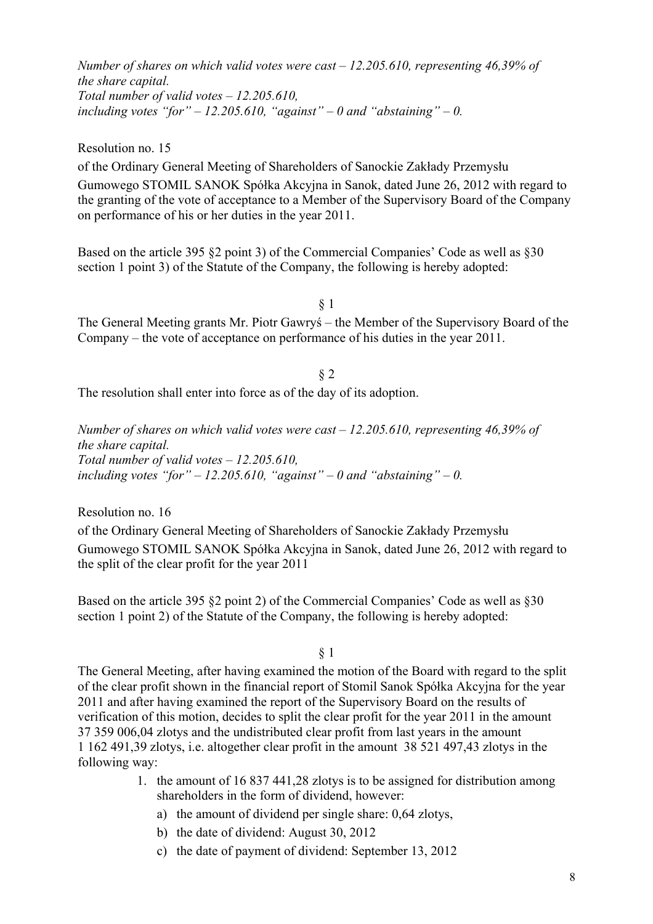*Number of shares on which valid votes were cast – 12.205.610, representing 46,39% of the share capital. Total number of valid votes – 12.205.610,*  including votes "for"  $-12.205.610$ , "against"  $-0$  and "abstaining"  $-0$ .

Resolution no. 15

of the Ordinary General Meeting of Shareholders of Sanockie Zakłady Przemysłu Gumowego STOMIL SANOK Spółka Akcyjna in Sanok, dated June 26, 2012 with regard to the granting of the vote of acceptance to a Member of the Supervisory Board of the Company on performance of his or her duties in the year 2011.

Based on the article 395 §2 point 3) of the Commercial Companies' Code as well as §30 section 1 point 3) of the Statute of the Company, the following is hereby adopted:

§ 1

The General Meeting grants Mr. Piotr Gawryś – the Member of the Supervisory Board of the Company – the vote of acceptance on performance of his duties in the year 2011.

§ 2

The resolution shall enter into force as of the day of its adoption.

*Number of shares on which valid votes were cast – 12.205.610, representing 46,39% of the share capital. Total number of valid votes – 12.205.610,*  including votes "for"  $-12.205.610$ , "against"  $-0$  and "abstaining"  $-0$ .

Resolution no. 16 of the Ordinary General Meeting of Shareholders of Sanockie Zakłady Przemysłu Gumowego STOMIL SANOK Spółka Akcyjna in Sanok, dated June 26, 2012 with regard to the split of the clear profit for the year 2011

Based on the article 395 §2 point 2) of the Commercial Companies' Code as well as §30 section 1 point 2) of the Statute of the Company, the following is hereby adopted:

§ 1

The General Meeting, after having examined the motion of the Board with regard to the split of the clear profit shown in the financial report of Stomil Sanok Spółka Akcyjna for the year 2011 and after having examined the report of the Supervisory Board on the results of verification of this motion, decides to split the clear profit for the year 2011 in the amount 37 359 006,04 zlotys and the undistributed clear profit from last years in the amount 1 162 491,39 zlotys, i.e. altogether clear profit in the amount 38 521 497,43 zlotys in the following way:

- 1. the amount of 16 837 441,28 zlotys is to be assigned for distribution among shareholders in the form of dividend, however:
	- a) the amount of dividend per single share: 0,64 zlotys,
	- b) the date of dividend: August 30, 2012
	- c) the date of payment of dividend: September 13, 2012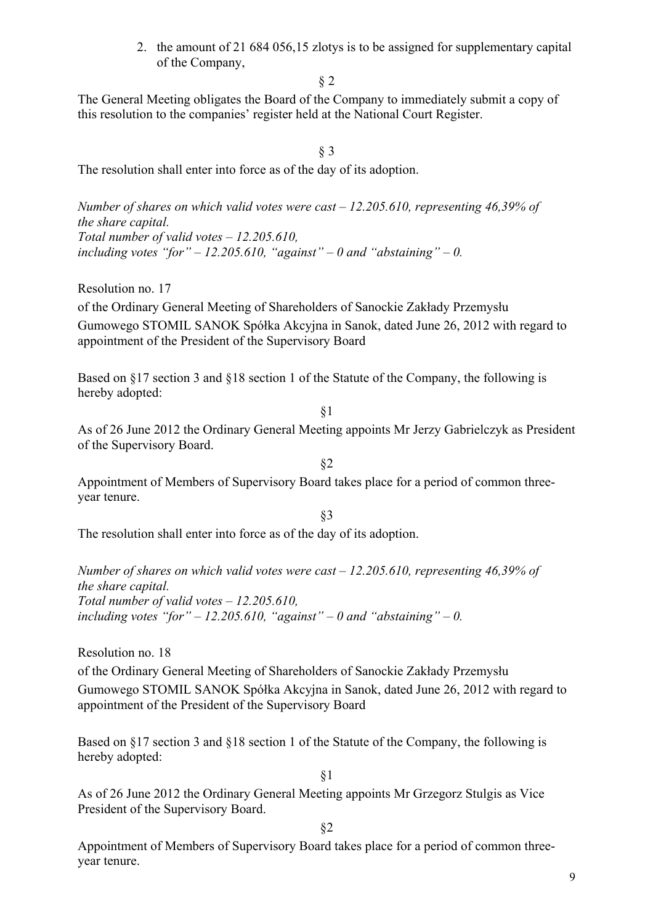2. the amount of 21 684 056,15 zlotys is to be assigned for supplementary capital of the Company,

§ 2

The General Meeting obligates the Board of the Company to immediately submit a copy of this resolution to the companies' register held at the National Court Register.

§ 3

The resolution shall enter into force as of the day of its adoption.

*Number of shares on which valid votes were cast – 12.205.610, representing 46,39% of the share capital. Total number of valid votes – 12.205.610,*  including votes "for"  $-12.205.610$ , "against"  $-0$  and "abstaining"  $-0$ .

Resolution no. 17

of the Ordinary General Meeting of Shareholders of Sanockie Zakłady Przemysłu Gumowego STOMIL SANOK Spółka Akcyjna in Sanok, dated June 26, 2012 with regard to appointment of the President of the Supervisory Board

Based on §17 section 3 and §18 section 1 of the Statute of the Company, the following is hereby adopted:

As of 26 June 2012 the Ordinary General Meeting appoints Mr Jerzy Gabrielczyk as President of the Supervisory Board.

§2

§1

Appointment of Members of Supervisory Board takes place for a period of common threeyear tenure.

§3

The resolution shall enter into force as of the day of its adoption.

*Number of shares on which valid votes were cast – 12.205.610, representing 46,39% of the share capital. Total number of valid votes – 12.205.610,*  including votes "for"  $-12.205.610$ , "against"  $-0$  and "abstaining"  $-0$ .

Resolution no. 18

of the Ordinary General Meeting of Shareholders of Sanockie Zakłady Przemysłu Gumowego STOMIL SANOK Spółka Akcyjna in Sanok, dated June 26, 2012 with regard to appointment of the President of the Supervisory Board

Based on §17 section 3 and §18 section 1 of the Statute of the Company, the following is hereby adopted:

§1

As of 26 June 2012 the Ordinary General Meeting appoints Mr Grzegorz Stulgis as Vice President of the Supervisory Board.

§2

Appointment of Members of Supervisory Board takes place for a period of common threeyear tenure.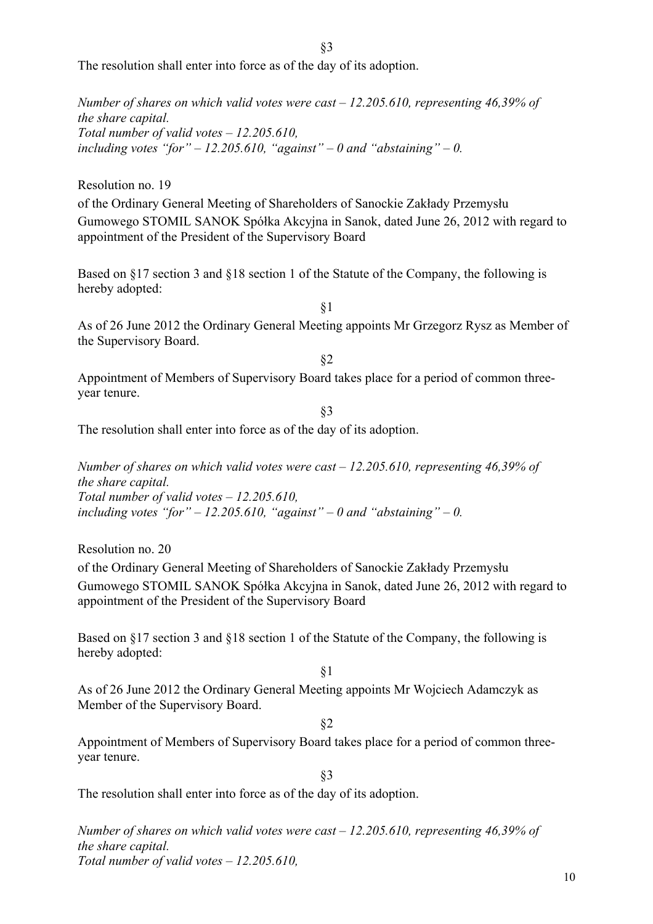The resolution shall enter into force as of the day of its adoption.

*Number of shares on which valid votes were cast – 12.205.610, representing 46,39% of the share capital. Total number of valid votes – 12.205.610, including votes "for" – 12.205.610, "against" – 0 and "abstaining" – 0.*

Resolution no. 19

of the Ordinary General Meeting of Shareholders of Sanockie Zakłady Przemysłu Gumowego STOMIL SANOK Spółka Akcyjna in Sanok, dated June 26, 2012 with regard to appointment of the President of the Supervisory Board

Based on §17 section 3 and §18 section 1 of the Statute of the Company, the following is hereby adopted:

§1

As of 26 June 2012 the Ordinary General Meeting appoints Mr Grzegorz Rysz as Member of the Supervisory Board.

§2

Appointment of Members of Supervisory Board takes place for a period of common threeyear tenure.

§3

The resolution shall enter into force as of the day of its adoption.

*Number of shares on which valid votes were cast – 12.205.610, representing 46,39% of the share capital. Total number of valid votes – 12.205.610,*  including votes "for"  $-12.205.610$ , "against"  $-0$  and "abstaining"  $-0$ .

Resolution no. 20

of the Ordinary General Meeting of Shareholders of Sanockie Zakłady Przemysłu Gumowego STOMIL SANOK Spółka Akcyjna in Sanok, dated June 26, 2012 with regard to appointment of the President of the Supervisory Board

Based on §17 section 3 and §18 section 1 of the Statute of the Company, the following is hereby adopted:

§1

As of 26 June 2012 the Ordinary General Meeting appoints Mr Wojciech Adamczyk as Member of the Supervisory Board.

§2

Appointment of Members of Supervisory Board takes place for a period of common threeyear tenure.

§3

The resolution shall enter into force as of the day of its adoption.

*Number of shares on which valid votes were cast – 12.205.610, representing 46,39% of the share capital. Total number of valid votes – 12.205.610,*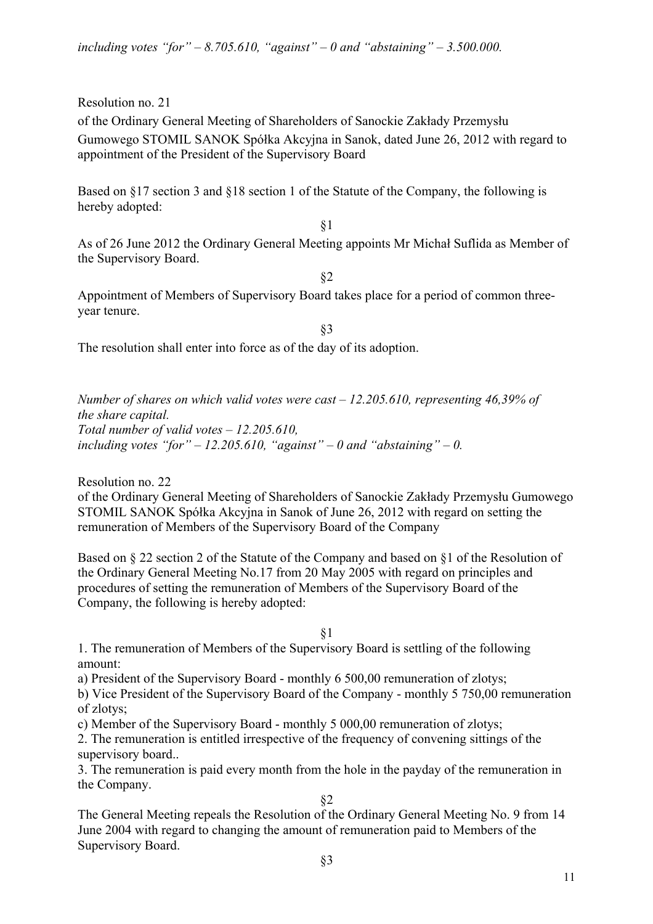Resolution no. 21

of the Ordinary General Meeting of Shareholders of Sanockie Zakłady Przemysłu Gumowego STOMIL SANOK Spółka Akcyjna in Sanok, dated June 26, 2012 with regard to appointment of the President of the Supervisory Board

Based on §17 section 3 and §18 section 1 of the Statute of the Company, the following is hereby adopted:

§1

As of 26 June 2012 the Ordinary General Meeting appoints Mr Michał Suflida as Member of the Supervisory Board.

§2

Appointment of Members of Supervisory Board takes place for a period of common threeyear tenure.

§3

The resolution shall enter into force as of the day of its adoption.

*Number of shares on which valid votes were cast – 12.205.610, representing 46,39% of the share capital. Total number of valid votes – 12.205.610,*  including votes "for"  $-12.205.610$ , "against"  $-0$  and "abstaining"  $-0$ .

Resolution no. 22

of the Ordinary General Meeting of Shareholders of Sanockie Zakłady Przemysłu Gumowego STOMIL SANOK Spółka Akcyjna in Sanok of June 26, 2012 with regard on setting the remuneration of Members of the Supervisory Board of the Company

Based on § 22 section 2 of the Statute of the Company and based on §1 of the Resolution of the Ordinary General Meeting No.17 from 20 May 2005 with regard on principles and procedures of setting the remuneration of Members of the Supervisory Board of the Company, the following is hereby adopted:

§1

1. The remuneration of Members of the Supervisory Board is settling of the following amount:

a) President of the Supervisory Board - monthly 6 500,00 remuneration of zlotys;

b) Vice President of the Supervisory Board of the Company - monthly 5 750,00 remuneration of zlotys;

c) Member of the Supervisory Board - monthly 5 000,00 remuneration of zlotys;

2. The remuneration is entitled irrespective of the frequency of convening sittings of the supervisory board..

3. The remuneration is paid every month from the hole in the payday of the remuneration in the Company.

§2

The General Meeting repeals the Resolution of the Ordinary General Meeting No. 9 from 14 June 2004 with regard to changing the amount of remuneration paid to Members of the Supervisory Board.